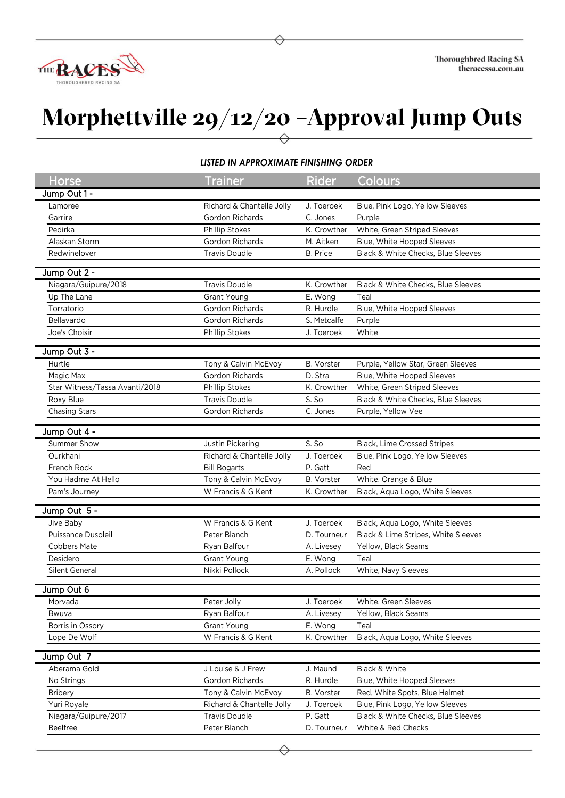

## **Morphettville 29/12/20 –Approval Jump Outs**

## *LISTED IN APPROXIMATE FINISHING ORDER*

| Horse                            | <b>Trainer</b>                    | <b>Rider</b>          | Colours                             |
|----------------------------------|-----------------------------------|-----------------------|-------------------------------------|
| Jump Out 1 -                     |                                   |                       |                                     |
| Lamoree                          | Richard & Chantelle Jolly         | J. Toeroek            | Blue, Pink Logo, Yellow Sleeves     |
| Garrire                          | Gordon Richards                   | C. Jones              | Purple                              |
| Pedirka                          | Phillip Stokes                    | K. Crowther           | White, Green Striped Sleeves        |
| Alaskan Storm                    | Gordon Richards                   | M. Aitken             | Blue, White Hooped Sleeves          |
| Redwinelover                     | <b>Travis Doudle</b>              | <b>B.</b> Price       | Black & White Checks, Blue Sleeves  |
| Jump Out 2 -                     |                                   |                       |                                     |
| Niagara/Guipure/2018             | <b>Travis Doudle</b>              | K. Crowther           | Black & White Checks, Blue Sleeves  |
| Up The Lane                      | Grant Young                       | E. Wong               | Teal                                |
| Torratorio                       | Gordon Richards                   | R. Hurdle             | Blue, White Hooped Sleeves          |
| Bellavardo                       | Gordon Richards                   | S. Metcalfe           | Purple                              |
| Joe's Choisir                    | Phillip Stokes                    | J. Toeroek            | White                               |
| Jump Out 3 -                     |                                   |                       |                                     |
| Hurtle                           | Tony & Calvin McEvoy              | <b>B.</b> Vorster     | Purple, Yellow Star, Green Sleeves  |
| Magic Max                        | Gordon Richards                   | D. Stra               | Blue, White Hooped Sleeves          |
| Star Witness/Tassa Avanti/2018   | Phillip Stokes                    | K. Crowther           | White, Green Striped Sleeves        |
| Roxy Blue                        | <b>Travis Doudle</b>              | S. So                 | Black & White Checks, Blue Sleeves  |
| <b>Chasing Stars</b>             | Gordon Richards                   | C. Jones              | Purple, Yellow Vee                  |
|                                  |                                   |                       |                                     |
| Jump Out 4 -                     |                                   |                       |                                     |
| Summer Show                      | Justin Pickering                  | S. So                 | Black, Lime Crossed Stripes         |
| Ourkhani                         | Richard & Chantelle Jolly         | J. Toeroek            | Blue, Pink Logo, Yellow Sleeves     |
| French Rock                      | <b>Bill Bogarts</b>               | P. Gatt               | Red                                 |
| You Hadme At Hello               | Tony & Calvin McEvoy              | <b>B.</b> Vorster     | White, Orange & Blue                |
| Pam's Journey                    | W Francis & G Kent                | K. Crowther           | Black, Aqua Logo, White Sleeves     |
| Jump Out 5 -                     |                                   |                       |                                     |
| Jive Baby                        | W Francis & G Kent                | J. Toeroek            | Black, Aqua Logo, White Sleeves     |
| Puissance Dusoleil               | Peter Blanch                      | D. Tourneur           | Black & Lime Stripes, White Sleeves |
| <b>Cobbers Mate</b>              | Ryan Balfour                      | A. Livesey            | Yellow, Black Seams                 |
| Desidero                         | Grant Young                       | E. Wong               | Teal                                |
| Silent General                   | Nikki Pollock                     | A. Pollock            | White, Navy Sleeves                 |
|                                  |                                   |                       |                                     |
| Jump Out 6                       |                                   |                       |                                     |
| Morvada                          | Peter Jolly                       | J. Toeroek            | White, Green Sleeves                |
| Bwuva                            | Ryan Balfour                      | A. Livesey<br>E. Wong | Yellow, Black Seams<br>Teal         |
| Borris in Ossory<br>Lope De Wolf | Grant Young<br>W Francis & G Kent | K. Crowther           | Black, Aqua Logo, White Sleeves     |
|                                  |                                   |                       |                                     |
| Jump Out 7                       |                                   |                       |                                     |
| Aberama Gold                     | J Louise & J Frew                 | J. Maund              | Black & White                       |
| No Strings                       | Gordon Richards                   | R. Hurdle             | Blue, White Hooped Sleeves          |
| Bribery                          | Tony & Calvin McEvoy              | B. Vorster            | Red, White Spots, Blue Helmet       |
| Yuri Royale                      | Richard & Chantelle Jolly         | J. Toeroek            | Blue, Pink Logo, Yellow Sleeves     |
| Niagara/Guipure/2017             | <b>Travis Doudle</b>              | P. Gatt               | Black & White Checks, Blue Sleeves  |
| Beelfree                         | Peter Blanch                      | D. Tourneur           | White & Red Checks                  |